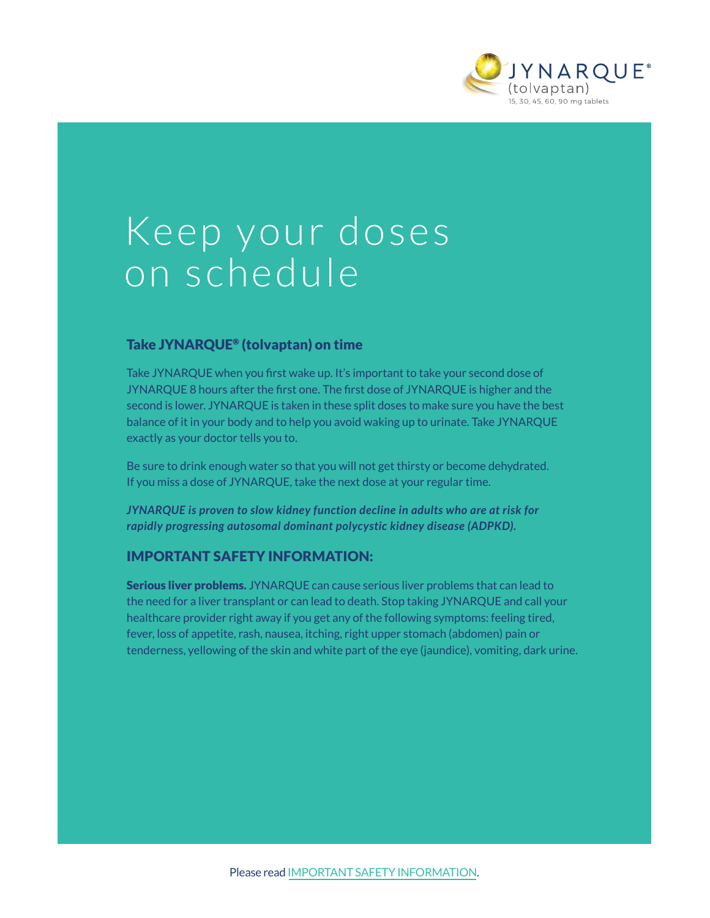

# Keep your doses on schedule

# Take JYNARQUE® (tolvaptan) on time

Take JYNARQUE when you first wake up. It's important to take your second dose of JYNARQUE 8 hours after the first one. The first dose of JYNARQUE is higher and the second is lower. JYNARQUE is taken in these split doses to make sure you have the best balance of it in your body and to help you avoid waking up to urinate. Take JYNARQUE exactly as your doctor tells you to.

Be sure to drink enough water so that you will not get thirsty or become dehydrated. If you miss a dose of JYNARQUE, take the next dose at your regular time.

*JYNARQUE is proven to slow kidney function decline in adults who are at risk for rapidly progressing autosomal dominant polycystic kidney disease (ADPKD).*

# IMPORTANT SAFETY INFORMATION:

Serious liver problems. JYNARQUE can cause serious liver problems that can lead to the need for a liver transplant or can lead to death. Stop taking JYNARQUE and call your healthcare provider right away if you get any of the following symptoms: feeling tired, fever, loss of appetite, rash, nausea, itching, right upper stomach (abdomen) pain or tenderness, yellowing of the skin and white part of the eye (jaundice), vomiting, dark urine.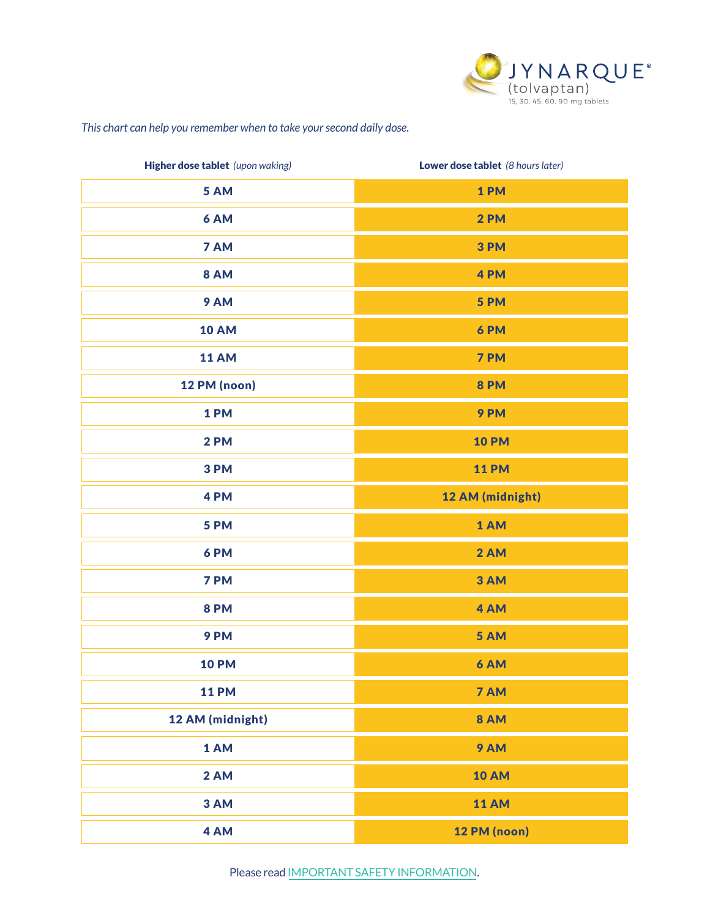

# *This chart can help you remember when to take your second daily dose.*

| Higher dose tablet (upon waking) | Lower dose tablet (8 hours later) |
|----------------------------------|-----------------------------------|
| 5 AM                             | 1PM                               |
| 6 AM                             | 2PM                               |
| 7 AM                             | 3PM                               |
| <b>8 AM</b>                      | 4PM                               |
| 9 AM                             | 5 PM                              |
| <b>10 AM</b>                     | 6PM                               |
| <b>11 AM</b>                     | 7 PM                              |
| 12 PM (noon)                     | <b>8 PM</b>                       |
| 1PM                              | 9PM                               |
| <b>2 PM</b>                      | <b>10 PM</b>                      |
| 3PM                              | <b>11 PM</b>                      |
| 4PM                              | 12 AM (midnight)                  |
| 5 PM                             | 1 AM                              |
| 6PM                              | 2 AM                              |
| 7 PM                             | 3 AM                              |
| <b>8 PM</b>                      | 4 AM                              |
| 9PM                              | 5 AM                              |
| <b>10 PM</b>                     | 6 AM                              |
| <b>11 PM</b>                     | 7 AM                              |
| 12 AM (midnight)                 | <b>8 AM</b>                       |
| 1 AM                             | 9 AM                              |
| 2 AM                             | <b>10 AM</b>                      |
| 3 AM                             | <b>11 AM</b>                      |
| 4 AM                             | 12 PM (noon)                      |

Please read [IMPORTANT SAFETY INFORMATION](#page-2-0).